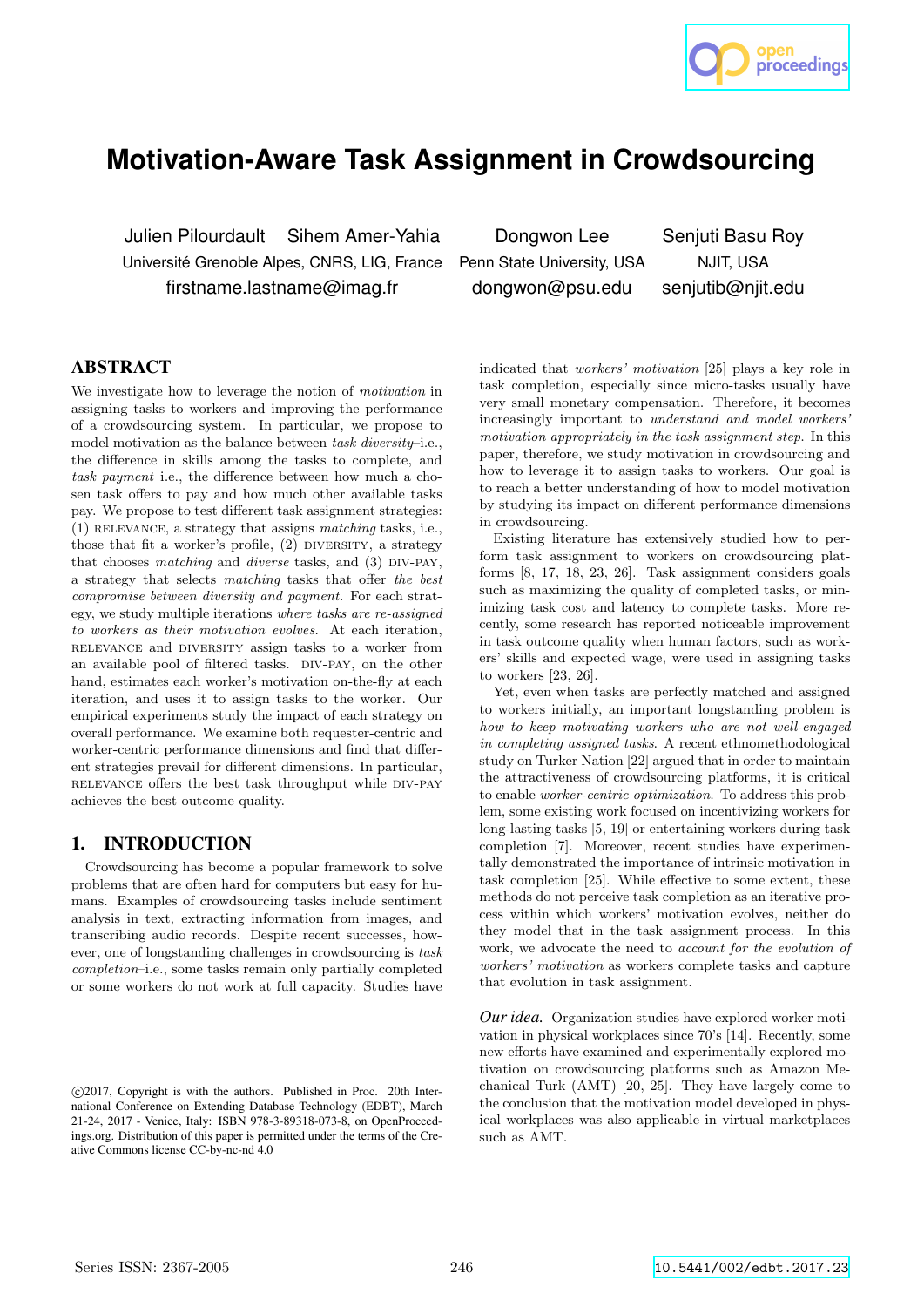

# **Motivation-Aware Task Assignment in Crowdsourcing**

Julien Pilourdault Sihem Amer-Yahia Dongwon Lee Senjuti Basu Roy Université Grenoble Alpes, CNRS, LIG, France Penn State University, USA NJIT, USA firstname.lastname@imag.fr dongwon@psu.edu senjutib@njit.edu

## ABSTRACT

We investigate how to leverage the notion of motivation in assigning tasks to workers and improving the performance of a crowdsourcing system. In particular, we propose to model motivation as the balance between task diversity–i.e., the difference in skills among the tasks to complete, and task payment–i.e., the difference between how much a chosen task offers to pay and how much other available tasks pay. We propose to test different task assignment strategies: (1) relevance, a strategy that assigns matching tasks, i.e., those that fit a worker's profile,  $(2)$  DIVERSITY, a strategy that chooses matching and diverse tasks, and  $(3)$  DIV-PAY, a strategy that selects matching tasks that offer the best compromise between diversity and payment. For each strategy, we study multiple iterations where tasks are re-assigned to workers as their motivation evolves. At each iteration, relevance and diversity assign tasks to a worker from an available pool of filtered tasks. DIV-PAY, on the other hand, estimates each worker's motivation on-the-fly at each iteration, and uses it to assign tasks to the worker. Our empirical experiments study the impact of each strategy on overall performance. We examine both requester-centric and worker-centric performance dimensions and find that different strategies prevail for different dimensions. In particular, relevance offers the best task throughput while div-pay achieves the best outcome quality.

## 1. INTRODUCTION

Crowdsourcing has become a popular framework to solve problems that are often hard for computers but easy for humans. Examples of crowdsourcing tasks include sentiment analysis in text, extracting information from images, and transcribing audio records. Despite recent successes, however, one of longstanding challenges in crowdsourcing is task completion–i.e., some tasks remain only partially completed or some workers do not work at full capacity. Studies have

indicated that workers' motivation [25] plays a key role in task completion, especially since micro-tasks usually have very small monetary compensation. Therefore, it becomes increasingly important to understand and model workers' motivation appropriately in the task assignment step. In this paper, therefore, we study motivation in crowdsourcing and how to leverage it to assign tasks to workers. Our goal is to reach a better understanding of how to model motivation by studying its impact on different performance dimensions in crowdsourcing.

Existing literature has extensively studied how to perform task assignment to workers on crowdsourcing platforms [8, 17, 18, 23, 26]. Task assignment considers goals such as maximizing the quality of completed tasks, or minimizing task cost and latency to complete tasks. More recently, some research has reported noticeable improvement in task outcome quality when human factors, such as workers' skills and expected wage, were used in assigning tasks to workers [23, 26].

Yet, even when tasks are perfectly matched and assigned to workers initially, an important longstanding problem is how to keep motivating workers who are not well-engaged in completing assigned tasks. A recent ethnomethodological study on Turker Nation [22] argued that in order to maintain the attractiveness of crowdsourcing platforms, it is critical to enable worker-centric optimization. To address this problem, some existing work focused on incentivizing workers for long-lasting tasks [5, 19] or entertaining workers during task completion [7]. Moreover, recent studies have experimentally demonstrated the importance of intrinsic motivation in task completion [25]. While effective to some extent, these methods do not perceive task completion as an iterative process within which workers' motivation evolves, neither do they model that in the task assignment process. In this work, we advocate the need to *account for the evolution of* workers' motivation as workers complete tasks and capture that evolution in task assignment.

*Our idea.* Organization studies have explored worker motivation in physical workplaces since 70's [14]. Recently, some new efforts have examined and experimentally explored motivation on crowdsourcing platforms such as Amazon Mechanical Turk (AMT) [20, 25]. They have largely come to the conclusion that the motivation model developed in physical workplaces was also applicable in virtual marketplaces such as AMT.

c 2017, Copyright is with the authors. Published in Proc. 20th International Conference on Extending Database Technology (EDBT), March 21-24, 2017 - Venice, Italy: ISBN 978-3-89318-073-8, on OpenProceedings.org. Distribution of this paper is permitted under the terms of the Creative Commons license CC-by-nc-nd 4.0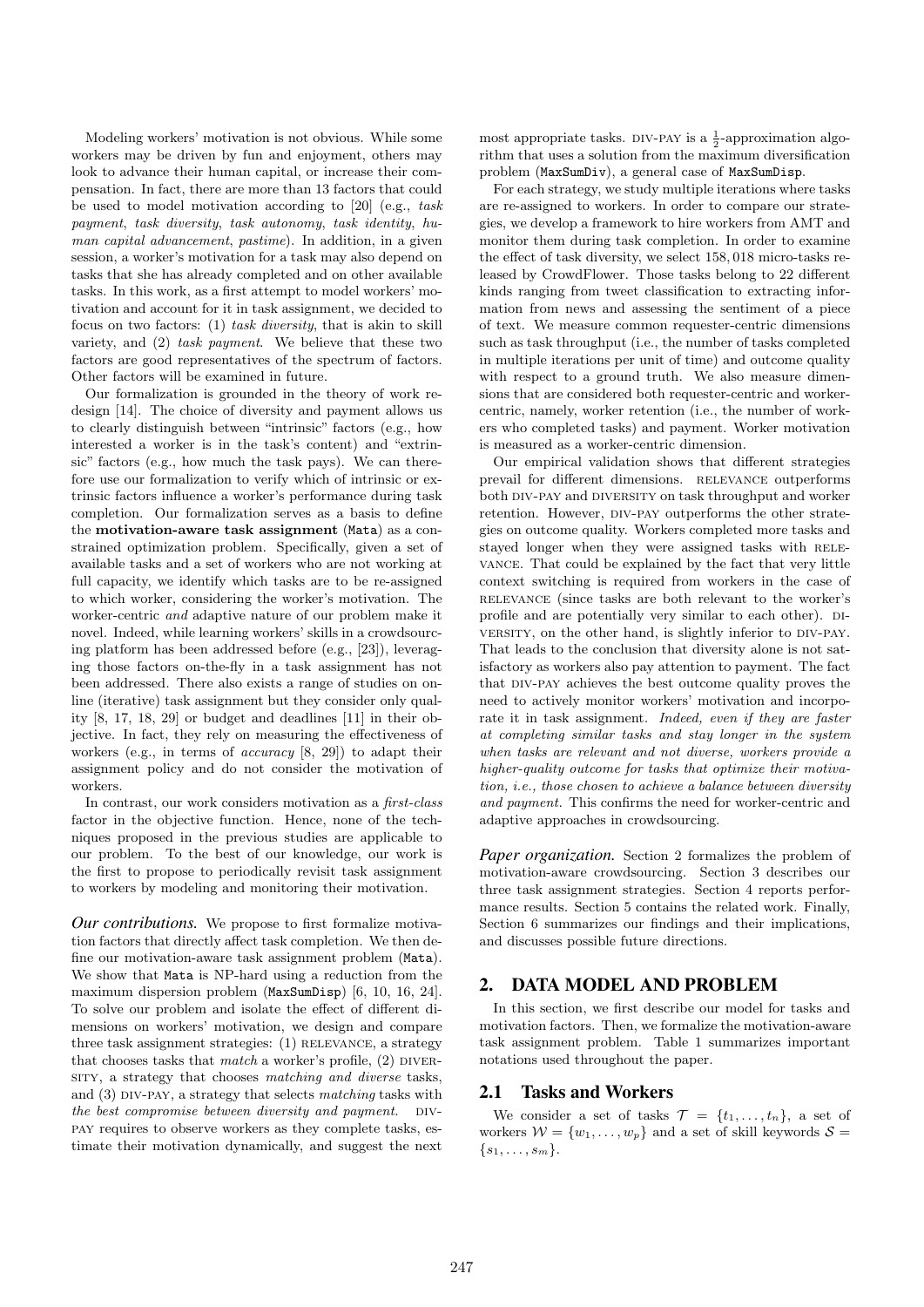Modeling workers' motivation is not obvious. While some workers may be driven by fun and enjoyment, others may look to advance their human capital, or increase their compensation. In fact, there are more than 13 factors that could be used to model motivation according to [20] (e.g., task payment, task diversity, task autonomy, task identity, human capital advancement, pastime). In addition, in a given session, a worker's motivation for a task may also depend on tasks that she has already completed and on other available tasks. In this work, as a first attempt to model workers' motivation and account for it in task assignment, we decided to focus on two factors: (1) task diversity, that is akin to skill variety, and (2) task payment. We believe that these two factors are good representatives of the spectrum of factors. Other factors will be examined in future.

Our formalization is grounded in the theory of work redesign [14]. The choice of diversity and payment allows us to clearly distinguish between "intrinsic" factors (e.g., how interested a worker is in the task's content) and "extrinsic" factors (e.g., how much the task pays). We can therefore use our formalization to verify which of intrinsic or extrinsic factors influence a worker's performance during task completion. Our formalization serves as a basis to define the motivation-aware task assignment (Mata) as a constrained optimization problem. Specifically, given a set of available tasks and a set of workers who are not working at full capacity, we identify which tasks are to be re-assigned to which worker, considering the worker's motivation. The worker-centric and adaptive nature of our problem make it novel. Indeed, while learning workers' skills in a crowdsourcing platform has been addressed before (e.g., [23]), leveraging those factors on-the-fly in a task assignment has not been addressed. There also exists a range of studies on online (iterative) task assignment but they consider only quality [8, 17, 18, 29] or budget and deadlines [11] in their objective. In fact, they rely on measuring the effectiveness of workers (e.g., in terms of accuracy [8, 29]) to adapt their assignment policy and do not consider the motivation of workers.

In contrast, our work considers motivation as a first-class factor in the objective function. Hence, none of the techniques proposed in the previous studies are applicable to our problem. To the best of our knowledge, our work is the first to propose to periodically revisit task assignment to workers by modeling and monitoring their motivation.

*Our contributions.* We propose to first formalize motivation factors that directly affect task completion. We then define our motivation-aware task assignment problem (Mata). We show that Mata is NP-hard using a reduction from the maximum dispersion problem (MaxSumDisp) [6, 10, 16, 24]. To solve our problem and isolate the effect of different dimensions on workers' motivation, we design and compare three task assignment strategies: (1) RELEVANCE, a strategy that chooses tasks that  $match$  a worker's profile,  $(2)$  DIVERsity, a strategy that chooses matching and diverse tasks, and  $(3)$  DIV-PAY, a strategy that selects matching tasks with the best compromise between diversity and payment.  $\Box$ pay requires to observe workers as they complete tasks, estimate their motivation dynamically, and suggest the next

most appropriate tasks. DIV-PAY is a  $\frac{1}{2}$ -approximation algorithm that uses a solution from the maximum diversification problem (MaxSumDiv), a general case of MaxSumDisp.

For each strategy, we study multiple iterations where tasks are re-assigned to workers. In order to compare our strategies, we develop a framework to hire workers from AMT and monitor them during task completion. In order to examine the effect of task diversity, we select 158, 018 micro-tasks released by CrowdFlower. Those tasks belong to 22 different kinds ranging from tweet classification to extracting information from news and assessing the sentiment of a piece of text. We measure common requester-centric dimensions such as task throughput (i.e., the number of tasks completed in multiple iterations per unit of time) and outcome quality with respect to a ground truth. We also measure dimensions that are considered both requester-centric and workercentric, namely, worker retention (i.e., the number of workers who completed tasks) and payment. Worker motivation is measured as a worker-centric dimension.

Our empirical validation shows that different strategies prevail for different dimensions. RELEVANCE outperforms both DIV-PAY and DIVERSITY on task throughput and worker retention. However, DIV-PAY outperforms the other strategies on outcome quality. Workers completed more tasks and stayed longer when they were assigned tasks with RELEvance. That could be explained by the fact that very little context switching is required from workers in the case of relevance (since tasks are both relevant to the worker's profile and are potentially very similar to each other). DIversity, on the other hand, is slightly inferior to DIV-PAY. That leads to the conclusion that diversity alone is not satisfactory as workers also pay attention to payment. The fact that div-pay achieves the best outcome quality proves the need to actively monitor workers' motivation and incorporate it in task assignment. *Indeed, even if they are faster* at completing similar tasks and stay longer in the system when tasks are relevant and not diverse, workers provide a higher-quality outcome for tasks that optimize their motivation, i.e., those chosen to achieve a balance between diversity and payment. This confirms the need for worker-centric and adaptive approaches in crowdsourcing.

*Paper organization.* Section 2 formalizes the problem of motivation-aware crowdsourcing. Section 3 describes our three task assignment strategies. Section 4 reports performance results. Section 5 contains the related work. Finally, Section 6 summarizes our findings and their implications, and discusses possible future directions.

## 2. DATA MODEL AND PROBLEM

In this section, we first describe our model for tasks and motivation factors. Then, we formalize the motivation-aware task assignment problem. Table 1 summarizes important notations used throughout the paper.

## 2.1 Tasks and Workers

We consider a set of tasks  $\mathcal{T} = \{t_1, \ldots, t_n\}$ , a set of workers  $W = \{w_1, \ldots, w_p\}$  and a set of skill keywords  $S =$  $\{s_1, \ldots, s_m\}.$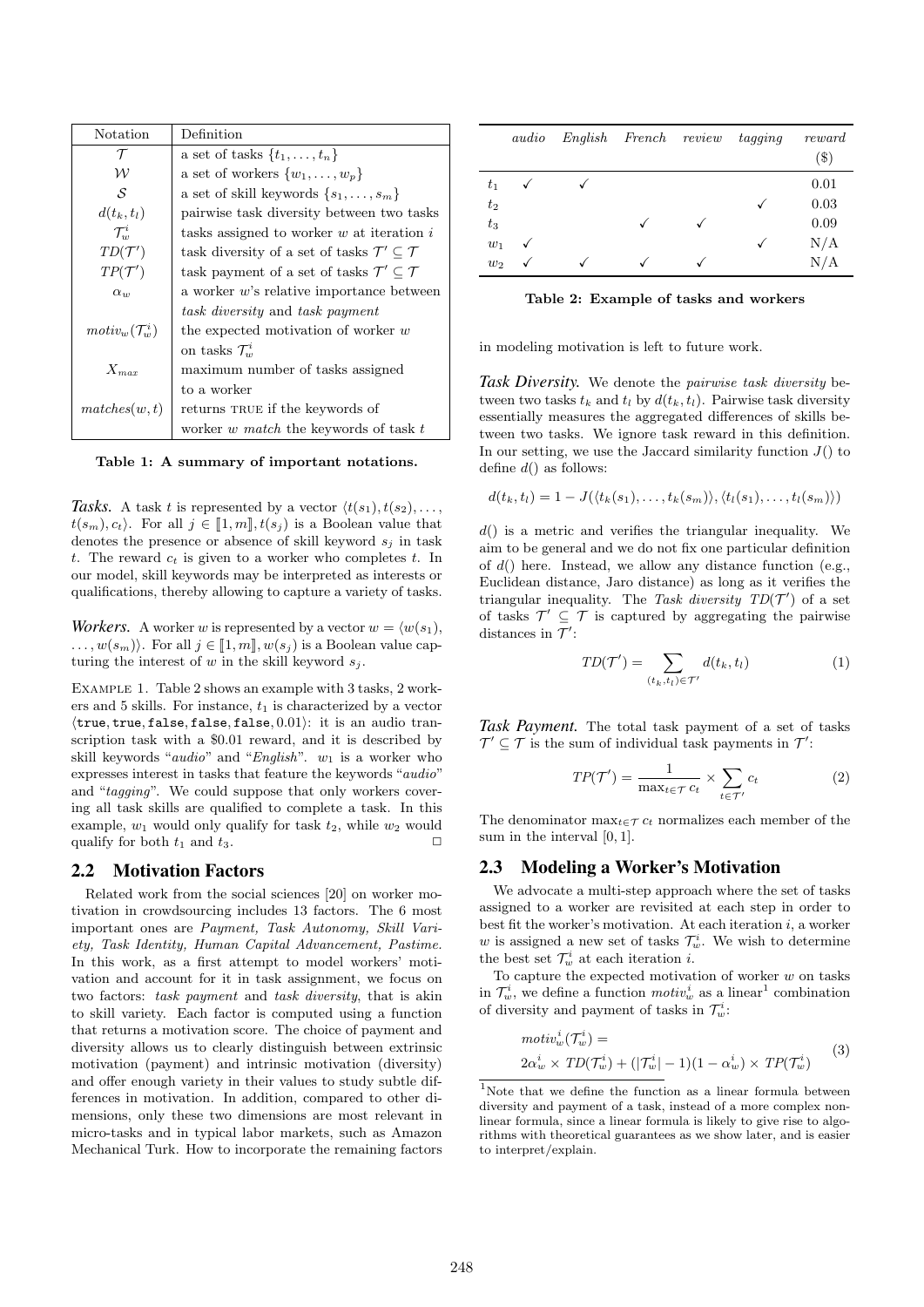| Notation                   | Definition                                                            |  |  |
|----------------------------|-----------------------------------------------------------------------|--|--|
| $\tau$                     | a set of tasks $\{t_1, \ldots, t_n\}$                                 |  |  |
| w                          | a set of workers $\{w_1, \ldots, w_p\}$                               |  |  |
| S                          | a set of skill keywords $\{s_1, \ldots, s_m\}$                        |  |  |
| $d(t_k,t_l)$               | pairwise task diversity between two tasks                             |  |  |
| $\mathcal{T}_{}^i$         | tasks assigned to worker $w$ at iteration $i$                         |  |  |
| $TD(\mathcal{T}')$         | task diversity of a set of tasks $\mathcal{T}' \subseteq \mathcal{T}$ |  |  |
| $TP(\mathcal{T}')$         | task payment of a set of tasks $\mathcal{T}' \subseteq \mathcal{T}$   |  |  |
| $\alpha_w$                 | a worker $w$ 's relative importance between                           |  |  |
|                            | task diversity and task payment                                       |  |  |
| $motiv_w(\mathcal{T}^i_w)$ | the expected motivation of worker $w$                                 |  |  |
|                            | on tasks $\mathcal{T}^i_{w}$                                          |  |  |
| $X_{\mathit{max}}$         | maximum number of tasks assigned                                      |  |  |
|                            | to a worker                                                           |  |  |
| matches(w, t)              | returns TRUE if the keywords of                                       |  |  |
|                            | worker w match the keywords of task t                                 |  |  |

Table 1: A summary of important notations.

Tasks. A task t is represented by a vector  $\langle t(s_1), t(s_2), \ldots, t(s_n) \rangle$  $t(s_m), c_t$ . For all  $j \in [1, m], t(s_j)$  is a Boolean value that denotes the presence or absence of skill keyword  $s_i$  in task t. The reward  $c_t$  is given to a worker who completes t. In our model, skill keywords may be interpreted as interests or qualifications, thereby allowing to capture a variety of tasks.

*Workers.* A worker w is represented by a vector  $w = \langle w(s_1), \dots \rangle$  $\dots, w(s_m)$ . For all  $j \in [1, m], w(s_j)$  is a Boolean value capturing the interest of w in the skill keyword  $s_i$ .

EXAMPLE 1. Table 2 shows an example with 3 tasks, 2 workers and 5 skills. For instance,  $t_1$  is characterized by a vector  $\langle$ true, true, false, false, false, 0.01 $\rangle$ : it is an audio transcription task with a \$0.01 reward, and it is described by skill keywords "*audio*" and "*English*".  $w_1$  is a worker who expresses interest in tasks that feature the keywords "audio" and "tagging". We could suppose that only workers covering all task skills are qualified to complete a task. In this example,  $w_1$  would only qualify for task  $t_2$ , while  $w_2$  would qualify for both  $t_1$  and  $t_3$ .

## 2.2 Motivation Factors

Related work from the social sciences [20] on worker motivation in crowdsourcing includes 13 factors. The 6 most important ones are Payment, Task Autonomy, Skill Variety, Task Identity, Human Capital Advancement, Pastime. In this work, as a first attempt to model workers' motivation and account for it in task assignment, we focus on two factors: task payment and task diversity, that is akin to skill variety. Each factor is computed using a function that returns a motivation score. The choice of payment and diversity allows us to clearly distinguish between extrinsic motivation (payment) and intrinsic motivation (diversity) and offer enough variety in their values to study subtle differences in motivation. In addition, compared to other dimensions, only these two dimensions are most relevant in micro-tasks and in typical labor markets, such as Amazon Mechanical Turk. How to incorporate the remaining factors

|         | audio |   | English French review tagging |              | reward<br>$(\$\,)$ |
|---------|-------|---|-------------------------------|--------------|--------------------|
| $t_{1}$ |       |   |                               |              | 0.01               |
| $t_2$   |       |   |                               |              | 0.03               |
| $t_3$   |       |   |                               | $\checkmark$ | 0.09               |
| $w_1$   | ✓     |   |                               |              | N/A                |
| $w_2$   | √     | √ |                               |              | N/A                |

Table 2: Example of tasks and workers

in modeling motivation is left to future work.

*Task Diversity.* We denote the pairwise task diversity between two tasks  $t_k$  and  $t_l$  by  $d(t_k, t_l)$ . Pairwise task diversity essentially measures the aggregated differences of skills between two tasks. We ignore task reward in this definition. In our setting, we use the Jaccard similarity function  $J()$  to define  $d()$  as follows:

$$
d(t_k, t_l) = 1 - J(\langle t_k(s_1), \ldots, t_k(s_m) \rangle, \langle t_l(s_1), \ldots, t_l(s_m) \rangle)
$$

 $d()$  is a metric and verifies the triangular inequality. We aim to be general and we do not fix one particular definition of  $d()$  here. Instead, we allow any distance function (e.g., Euclidean distance, Jaro distance) as long as it verifies the triangular inequality. The Task diversity  $TD(\mathcal{T}')$  of a set of tasks  $\mathcal{T}' \subseteq \mathcal{T}$  is captured by aggregating the pairwise distances in  $\mathcal{T}'$ :

$$
TD(\mathcal{T}') = \sum_{(t_k, t_l) \in \mathcal{T}'} d(t_k, t_l)
$$
\n<sup>(1)</sup>

*Task Payment.* The total task payment of a set of tasks  $\mathcal{T}' \subseteq \mathcal{T}$  is the sum of individual task payments in  $\mathcal{T}'$ :

$$
TP(\mathcal{T}') = \frac{1}{\max_{t \in \mathcal{T}} c_t} \times \sum_{t \in \mathcal{T}'} c_t \tag{2}
$$

The denominator max $t \in \mathcal{T} c_t$  normalizes each member of the sum in the interval [0, 1].

## 2.3 Modeling a Worker's Motivation

We advocate a multi-step approach where the set of tasks assigned to a worker are revisited at each step in order to best fit the worker's motivation. At each iteration  $i$ , a worker w is assigned a new set of tasks  $\mathcal{T}_{w}^{i}$ . We wish to determine the best set  $\mathcal{T}^i_w$  at each iteration *i*.

To capture the expected motivation of worker  $w$  on tasks in  $\mathcal{T}^i_w$ , we define a function  $motiv^i_w$  as a linear<sup>1</sup> combination of diversity and payment of tasks in  $\mathcal{T}^i_w$ :

$$
motiv_w^i(\mathcal{T}_w^i) =
$$
  
\n
$$
2\alpha_w^i \times TD(\mathcal{T}_w^i) + (|\mathcal{T}_w^i| - 1)(1 - \alpha_w^i) \times TP(\mathcal{T}_w^i)
$$
 (3)

<sup>&</sup>lt;sup>1</sup>Note that we define the function as a linear formula between diversity and payment of a task, instead of a more complex nonlinear formula, since a linear formula is likely to give rise to algorithms with theoretical guarantees as we show later, and is easier to interpret/explain.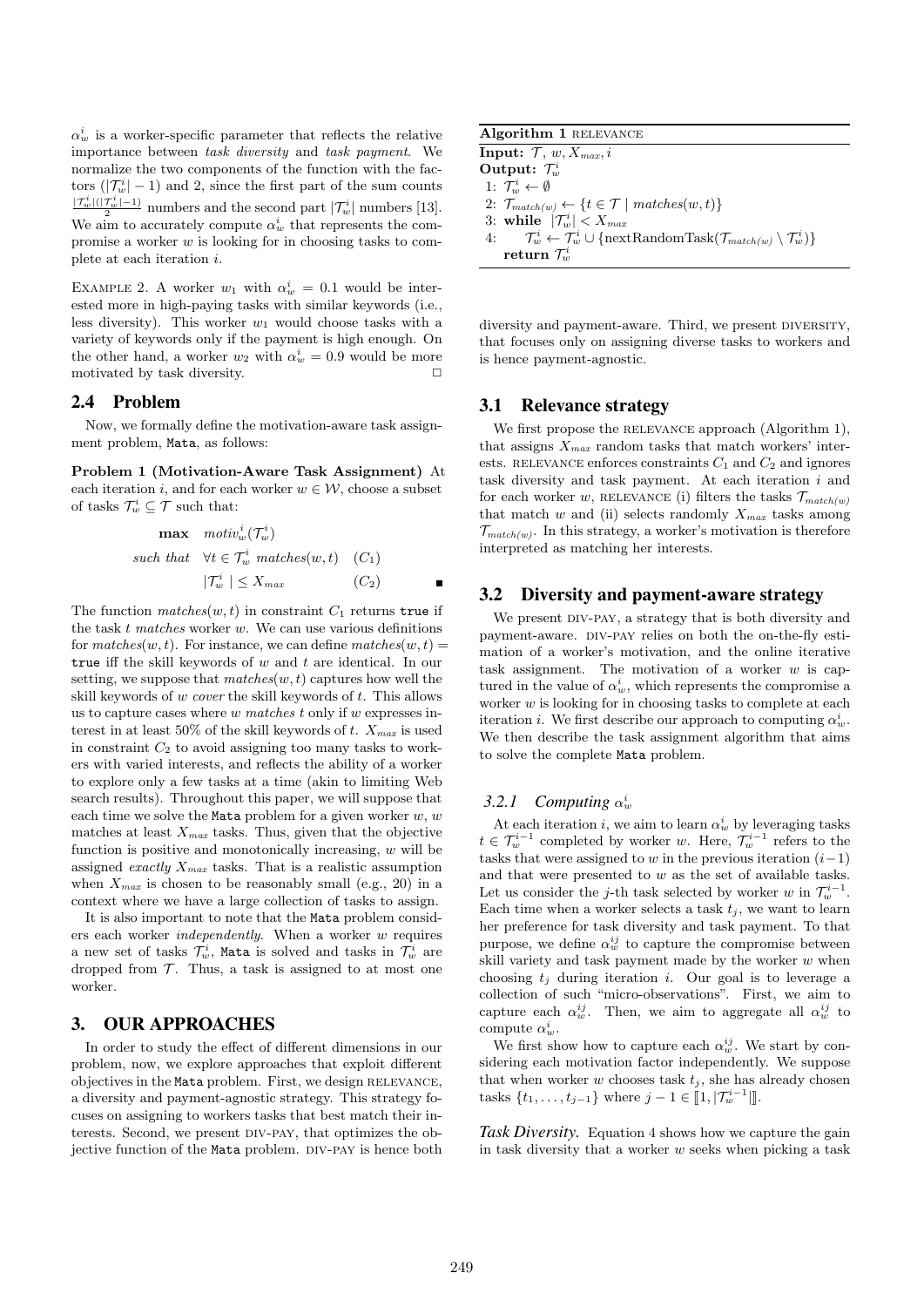$\alpha_w^i$  is a worker-specific parameter that reflects the relative importance between task diversity and task payment. We normalize the two components of the function with the factors  $(|\mathcal{T}_{w}^{i}| - 1)$  and 2, since the first part of the sum counts  $\frac{|\mathcal{T}_w^i|(|\mathcal{T}_w^i| - 1)}{2}$  numbers and the second part  $|\mathcal{T}_w^i|$  numbers [13]. We aim to accurately compute  $\alpha_w^i$  that represents the compromise a worker w is looking for in choosing tasks to complete at each iteration i.

EXAMPLE 2. A worker  $w_1$  with  $\alpha_w^i = 0.1$  would be interested more in high-paying tasks with similar keywords (i.e., less diversity). This worker  $w_1$  would choose tasks with a variety of keywords only if the payment is high enough. On the other hand, a worker  $w_2$  with  $\alpha_w^i = 0.9$  would be more motivated by task diversity.  $\Box$ 

#### 2.4 Problem

Now, we formally define the motivation-aware task assignment problem, Mata, as follows:

Problem 1 (Motivation-Aware Task Assignment) At each iteration i, and for each worker  $w \in \mathcal{W}$ , choose a subset of tasks  $\mathcal{T}^i_w \subseteq \mathcal{T}$  such that:

$$
\begin{aligned}\n\max \quad & \text{motiv}_{w}^{i}(\mathcal{T}_{w}^{i}) \\
\text{such that} \quad & \forall t \in \mathcal{T}_{w}^{i} \text{ matches}(w, t) \quad (C_{1}) \\
& |\mathcal{T}_{w}^{i}| \leq X_{\text{max}} \qquad (C_{2})\n\end{aligned}
$$

The function  $matches(w, t)$  in constraint  $C_1$  returns true if the task  $t$  matches worker  $w$ . We can use various definitions for  $matches(w, t)$ . For instance, we can define  $matches(w, t)$ true iff the skill keywords of  $w$  and  $t$  are identical. In our setting, we suppose that  $matches(w, t)$  captures how well the skill keywords of  $w$  cover the skill keywords of  $t$ . This allows us to capture cases where  $w$  matches t only if  $w$  expresses interest in at least 50% of the skill keywords of t.  $X_{max}$  is used in constraint  $C_2$  to avoid assigning too many tasks to workers with varied interests, and reflects the ability of a worker to explore only a few tasks at a time (akin to limiting Web search results). Throughout this paper, we will suppose that each time we solve the Mata problem for a given worker  $w, w$ matches at least  $X_{max}$  tasks. Thus, given that the objective function is positive and monotonically increasing,  $w$  will be assigned *exactly*  $X_{max}$  tasks. That is a realistic assumption when  $X_{max}$  is chosen to be reasonably small (e.g., 20) in a context where we have a large collection of tasks to assign.

It is also important to note that the Mata problem considers each worker independently. When a worker w requires a new set of tasks  $\mathcal{T}^i_w$ , Mata is solved and tasks in  $\mathcal{T}^i_w$  are dropped from  $\mathcal T$ . Thus, a task is assigned to at most one worker.

## 3. OUR APPROACHES

In order to study the effect of different dimensions in our problem, now, we explore approaches that exploit different objectives in the Mata problem. First, we design RELEVANCE, a diversity and payment-agnostic strategy. This strategy focuses on assigning to workers tasks that best match their interests. Second, we present div-pay, that optimizes the objective function of the Mata problem. DIV-PAY is hence both

| Algorithm 1 RELEVANCE                                                                                                                      |
|--------------------------------------------------------------------------------------------------------------------------------------------|
| <b>Input:</b> $\mathcal{T}, w, X_{max}, i$                                                                                                 |
| Output: $\mathcal{T}_{w}^{i}$                                                                                                              |
| 1: $\mathcal{T}_{w}^{i} \leftarrow \emptyset$                                                                                              |
| 2: $\mathcal{T}_{match(w)} \leftarrow \{t \in \mathcal{T} \mid matches(w, t)\}\$                                                           |
| 3: while $ \mathcal{T}_{w}^{i}  < X_{max}$                                                                                                 |
| 4: $\mathcal{T}_{w}^{i} \leftarrow \mathcal{T}_{w}^{i} \cup {\text{nextRandomTask}(\mathcal{T}_{match(w)} \setminus \mathcal{T}_{w}^{i})}$ |

diversity and payment-aware. Third, we present DIVERSITY, that focuses only on assigning diverse tasks to workers and is hence payment-agnostic.

<sup>w</sup>)}

## 3.1 Relevance strategy

 $\text{return } \mathcal{T}^i_w$ 

We first propose the RELEVANCE approach (Algorithm 1), that assigns  $X_{max}$  random tasks that match workers' interests. RELEVANCE enforces constraints  $C_1$  and  $C_2$  and ignores task diversity and task payment. At each iteration  $i$  and for each worker w, RELEVANCE (i) filters the tasks  $\mathcal{T}_{match(w)}$ that match w and (ii) selects randomly  $X_{max}$  tasks among  $\mathcal{T}_{match(w)}$ . In this strategy, a worker's motivation is therefore interpreted as matching her interests.

#### 3.2 Diversity and payment-aware strategy

We present DIV-PAY, a strategy that is both diversity and payment-aware. DIV-PAY relies on both the on-the-fly estimation of a worker's motivation, and the online iterative task assignment. The motivation of a worker  $w$  is captured in the value of  $\alpha_w^i$ , which represents the compromise a worker  $w$  is looking for in choosing tasks to complete at each iteration *i*. We first describe our approach to computing  $\alpha_w^i$ . We then describe the task assignment algorithm that aims to solve the complete Mata problem.

## 3.2.1 Computing  $\alpha_w^i$

At each iteration *i*, we aim to learn  $\alpha_w^i$  by leveraging tasks  $t \in \mathcal{T}^{i-1}_w$  completed by worker w. Here,  $\mathcal{T}^{i-1}_w$  refers to the tasks that were assigned to w in the previous iteration  $(i-1)$ and that were presented to w as the set of available tasks. Let us consider the j-th task selected by worker w in  $\mathcal{T}_w^{i-1}$ . Each time when a worker selects a task  $t_i$ , we want to learn her preference for task diversity and task payment. To that purpose, we define  $\alpha_w^{ij}$  to capture the compromise between skill variety and task payment made by the worker  $w$  when choosing  $t_i$  during iteration i. Our goal is to leverage a collection of such "micro-observations". First, we aim to capture each  $\alpha_w^{ij}$ . Then, we aim to aggregate all  $\alpha_w^{ij}$  to compute  $\alpha_w^i$ .

We first show how to capture each  $\alpha_w^{ij}$ . We start by considering each motivation factor independently. We suppose that when worker w chooses task  $t_i$ , she has already chosen tasks  $\{t_1, \ldots, t_{j-1}\}$  where  $j - 1 \in [1, |\mathcal{T}_w^{i-1}|]$ .

*Task Diversity.* Equation 4 shows how we capture the gain in task diversity that a worker  $w$  seeks when picking a task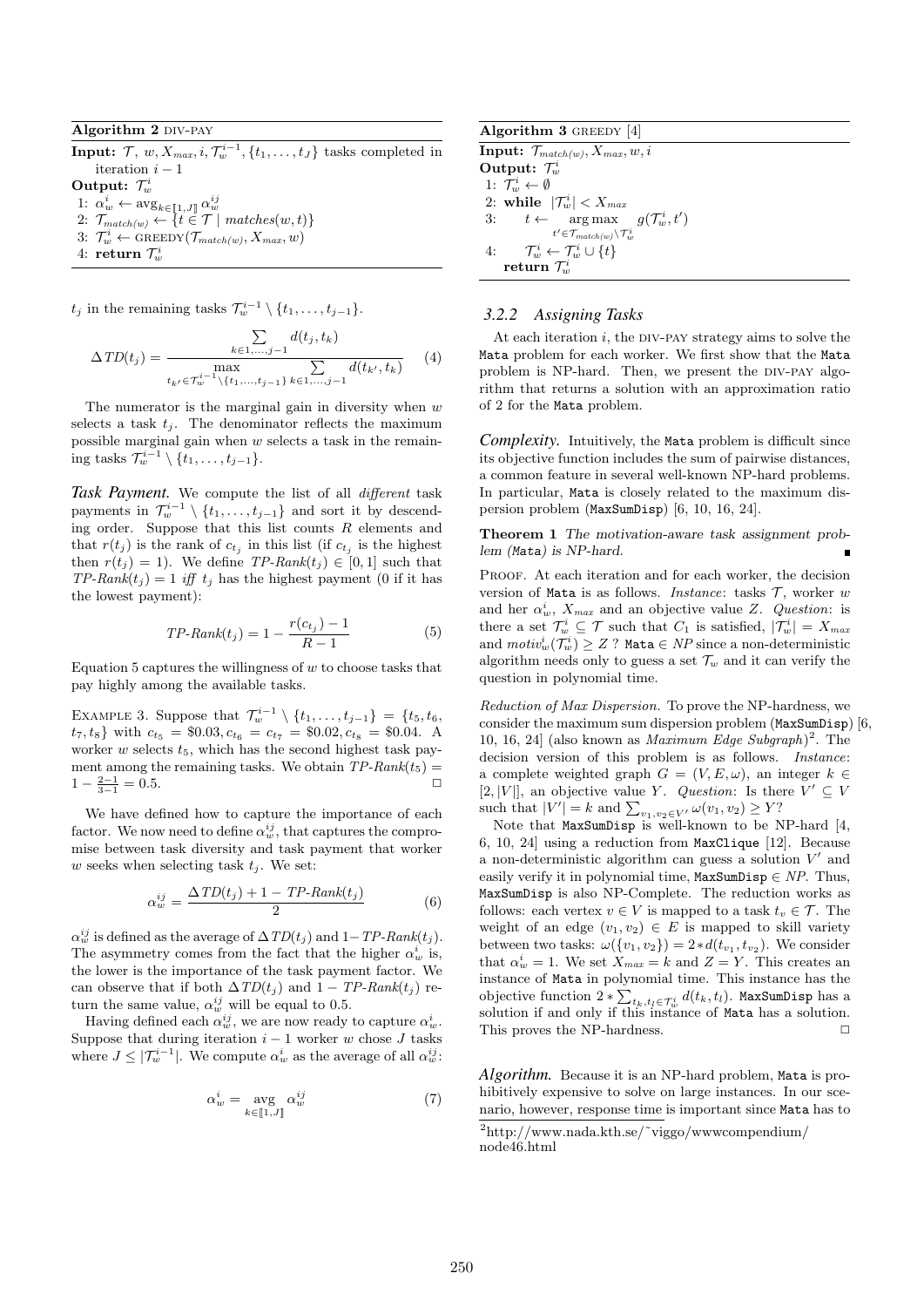#### Algorithm 2 DIV-PAY

Input:  $\mathcal{T}, w, X_{max}, i, \mathcal{T}^{i-1}_w, \{t_1, \ldots, t_J\}$  tasks completed in iteration  $i - 1$ Output:  $\mathcal{T}_{w}^{i}$ 1:  $\alpha_w^i \leftarrow \text{avg}_{k \in [\![ 1, J ]\!]} \alpha_w^{ij}$ <br>2:  $\mathcal{T}_{match(w)} \leftarrow \{t \in \mathcal{T} \mid matches(w, t)\}$ 

- 
- 3:  $\mathcal{T}_{w}^{i} \leftarrow \text{GREEDY}(\mathcal{T}_{match(w)}, X_{max}, w)$
- $4: \; {\bf return} \; \mathcal{T}^i_w$

 $t_j$  in the remaining tasks  $\mathcal{T}^{i-1}_w \setminus \{t_1, \ldots, t_{j-1}\}.$ 

$$
\Delta TD(t_j) = \frac{\sum_{k \in 1, ..., j-1} d(t_j, t_k)}{\max_{t_{k'} \in \mathcal{T}_w^{i-1} \setminus \{t_1, ..., t_{j-1}\}} \sum_{k \in 1, ..., j-1} d(t_{k'}, t_k)} \tag{4}
$$

The numerator is the marginal gain in diversity when  $w$ selects a task  $t_j$ . The denominator reflects the maximum possible marginal gain when  $w$  selects a task in the remaining tasks  $\mathcal{T}^{i-1}_w \setminus \{t_1, \ldots, t_{j-1}\}.$ 

*Task Payment.* We compute the list of all different task payments in  $\mathcal{T}^{i-1}_{w} \setminus \{t_1, \ldots, t_{j-1}\}$  and sort it by descending order. Suppose that this list counts  $R$  elements and that  $r(t_j)$  is the rank of  $c_{t_j}$  in this list (if  $c_{t_j}$  is the highest then  $r(t_j) = 1$ ). We define TP-Rank $(t_j) \in [0, 1]$  such that  $TP-Rank(t_i) = 1$  iff  $t_i$  has the highest payment (0 if it has the lowest payment):

$$
TP\text{-}Rank(t_j) = 1 - \frac{r(c_{t_j}) - 1}{R - 1} \tag{5}
$$

Equation 5 captures the willingness of  $w$  to choose tasks that pay highly among the available tasks.

EXAMPLE 3. Suppose that  $\mathcal{T}_{w}^{i-1} \setminus \{t_1, \ldots, t_{j-1}\} = \{t_5, t_6,$  $t_7, t_8$  with  $c_{t_5} = $0.03, c_{t_6} = c_{t_7} = $0.02, c_{t_8} = $0.04$ . A worker  $w$  selects  $t_5$ , which has the second highest task payment among the remaining tasks. We obtain  $TP$ -Rank $(t_5)$  =  $1 - \frac{2-1}{3-1} = 0.5.$ 

We have defined how to capture the importance of each factor. We now need to define  $\alpha_w^{ij}$ , that captures the compromise between task diversity and task payment that worker w seeks when selecting task  $t_i$ . We set:

$$
\alpha_w^{ij} = \frac{\Delta TD(t_j) + 1 - TP\text{-}Rank(t_j)}{2} \tag{6}
$$

 $\alpha_w^{ij}$  is defined as the average of  $\Delta TD(t_j)$  and  $1 - TP$ -Rank $(t_j)$ . The asymmetry comes from the fact that the higher  $\alpha_w^i$  is, the lower is the importance of the task payment factor. We can observe that if both  $\Delta TD(t_j)$  and  $1 - TP$ -Rank $(t_j)$  return the same value,  $\alpha_w^{ij}$  will be equal to 0.5.

Having defined each  $\alpha_w^{ij}$ , we are now ready to capture  $\alpha_w^i$ . Suppose that during iteration  $i - 1$  worker w chose J tasks where  $J \leq |\mathcal{T}^{i-1}_w|$ . We compute  $\alpha_w^i$  as the average of all  $\alpha_w^{ij}$ .

$$
\alpha_w^i = \underset{k \in [\![1,J]\!]}{\text{avg}} \alpha_w^{ij} \tag{7}
$$

Algorithm 3 GREEDY [4] **Input:**  $\mathcal{T}_{match(w)}, X_{max}, w, i$ Output:  $\mathcal{T}_{w}^{i}$ 1:  $\mathcal{T}^i_w \leftarrow \emptyset$ 2: while  $|\mathcal{T}_{w}^{i}| < X_{max}$ 3:  $t \leftarrow \arg \max_{t' \in \mathcal{T}_{match(w)} \setminus \mathcal{T}_{w}^i}$  $g(\mathcal{T}^i_w,t')$ 4:  $\mathcal{T}_w^i \leftarrow \mathcal{T}_w^i \cup \{t\}$  $\operatorname{return}\, \mathcal{T}_{w}^{i}$ 

## *3.2.2 Assigning Tasks*

At each iteration  $i$ , the DIV-PAY strategy aims to solve the Mata problem for each worker. We first show that the Mata problem is NP-hard. Then, we present the DIV-PAY algorithm that returns a solution with an approximation ratio of 2 for the Mata problem.

*Complexity.* Intuitively, the Mata problem is difficult since its objective function includes the sum of pairwise distances, a common feature in several well-known NP-hard problems. In particular, Mata is closely related to the maximum dispersion problem (MaxSumDisp) [6, 10, 16, 24].

Theorem 1 The motivation-aware task assignment problem (Mata) is NP-hard.

PROOF. At each iteration and for each worker, the decision version of Mata is as follows. *Instance*: tasks  $\mathcal{T}$ , worker w and her  $\alpha_w^i$ ,  $X_{max}$  and an objective value Z. Question: is there a set  $\mathcal{T}_{w}^{i} \subseteq \mathcal{T}$  such that  $C_1$  is satisfied,  $|\mathcal{T}_{w}^{i}| = X_{max}$ and  $motiv_w^i(\mathcal{T}^i_w) \geq Z$  ? Mata  $\in$   $NP$  since a non-deterministic algorithm needs only to guess a set  $\mathcal{T}_w$  and it can verify the question in polynomial time.

Reduction of Max Dispersion. To prove the NP-hardness, we consider the maximum sum dispersion problem (MaxSumDisp) [6, 10, 16, 24 (also known as *Maximum Edge Subgraph*)<sup>2</sup>. The decision version of this problem is as follows. *Instance*: a complete weighted graph  $G = (V, E, \omega)$ , an integer  $k \in$ [2, |V||, an objective value Y. Question: Is there  $V' \subseteq V$ such that  $|V'| = k$  and  $\sum_{v_1, v_2 \in V'} \omega(v_1, v_2) \geq Y$ ?

Note that MaxSumDisp is well-known to be NP-hard [4, 6, 10, 24] using a reduction from MaxClique [12]. Because a non-deterministic algorithm can guess a solution  $V'$  and easily verify it in polynomial time,  $MaxSumDisp \in NP$ . Thus, MaxSumDisp is also NP-Complete. The reduction works as follows: each vertex  $v \in V$  is mapped to a task  $t_v \in \mathcal{T}$ . The weight of an edge  $(v_1, v_2) \in E$  is mapped to skill variety between two tasks:  $\omega({v_1, v_2}) = 2 * d(t_{v_1}, t_{v_2})$ . We consider that  $\alpha_w^i = 1$ . We set  $X_{max} = k$  and  $Z = Y$ . This creates an instance of Mata in polynomial time. This instance has the objective function  $2 * \sum_{t_k, t_l \in \mathcal{T}_{w}^i} d(t_k, t_l)$ . MaxSumDisp has a solution if and only if this instance of Mata has a solution. This proves the NP-hardness.  $\Box$ 

*Algorithm.* Because it is an NP-hard problem, Mata is prohibitively expensive to solve on large instances. In our scenario, however, response time is important since Mata has to

 $\sqrt[2]{\frac{1}{2}}$ http://www.nada.kth.se/~viggo/www.compendium/ node46.html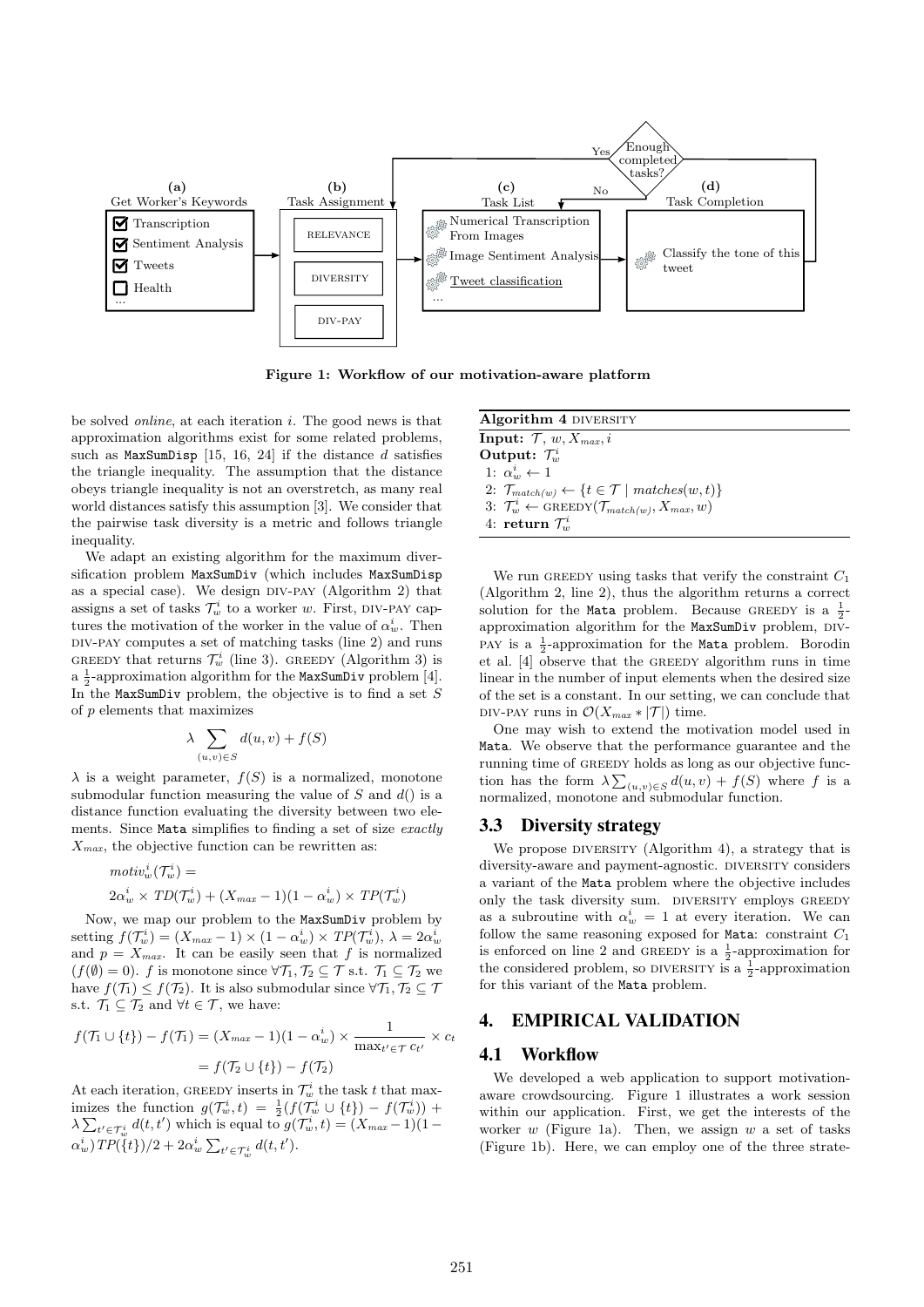

Figure 1: Workflow of our motivation-aware platform

be solved *online*, at each iteration  $i$ . The good news is that approximation algorithms exist for some related problems, such as  $MaxSumDisp$  [15, 16, 24] if the distance d satisfies the triangle inequality. The assumption that the distance obeys triangle inequality is not an overstretch, as many real world distances satisfy this assumption [3]. We consider that the pairwise task diversity is a metric and follows triangle inequality.

We adapt an existing algorithm for the maximum diversification problem MaxSumDiv (which includes MaxSumDisp as a special case). We design  $DIV-PAY$  (Algorithm 2) that assigns a set of tasks  $\mathcal{T}^i_w$  to a worker w. First, DIV-PAY captures the motivation of the worker in the value of  $\alpha_w^i$ . Then div-pay computes a set of matching tasks (line 2) and runs GREEDY that returns  $\mathcal{T}_{w}^{i}$  (line 3). GREEDY (Algorithm 3) is a  $\frac{1}{2}$ -approximation algorithm for the MaxSumDiv problem [4]. In the MaxSumDiv problem, the objective is to find a set  $S$ of p elements that maximizes

$$
\lambda \sum_{(u,v)\in S} d(u,v) + f(S)
$$

 $\lambda$  is a weight parameter,  $f(S)$  is a normalized, monotone submodular function measuring the value of  $S$  and  $d()$  is a distance function evaluating the diversity between two elements. Since Mata simplifies to finding a set of size exactly  $X_{max}$ , the objective function can be rewritten as:

$$
motiv_w^i(\mathcal{T}_w^i) =
$$
  
 
$$
2\alpha_w^i \times TD(\mathcal{T}_w^i) + (X_{max} - 1)(1 - \alpha_w^i) \times TP(\mathcal{T}_w^i)
$$

Now, we map our problem to the MaxSumDiv problem by setting  $f(\mathcal{T}_{w}^{i}) = (X_{max} - 1) \times (1 - \alpha_{w}^{i}) \times TP(\mathcal{T}_{w}^{i}), \lambda = 2\alpha_{w}^{i}$ and  $p = X_{max}$ . It can be easily seen that f is normalized  $(f(\emptyset) = 0)$ . f is monotone since  $\forall \mathcal{T}_1, \mathcal{T}_2 \subseteq \mathcal{T}$  s.t.  $\mathcal{T}_1 \subseteq \mathcal{T}_2$  we have  $f(\mathcal{T}_1) \leq f(\mathcal{T}_2)$ . It is also submodular since  $\forall \mathcal{T}_1, \mathcal{T}_2 \subseteq \mathcal{T}$ s.t.  $\mathcal{T}_1 \subseteq \mathcal{T}_2$  and  $\forall t \in \mathcal{T}$ , we have:

$$
f(\mathcal{T}_1 \cup \{t\}) - f(\mathcal{T}_1) = (X_{max} - 1)(1 - \alpha_w^i) \times \frac{1}{\max_{t' \in \mathcal{T}} c_{t'}} \times c_t
$$

$$
= f(\mathcal{T}_2 \cup \{t\}) - f(\mathcal{T}_2)
$$

At each iteration, GREEDY inserts in  $\mathcal{T}^i_w$  the task t that maximizes the function  $g(\mathcal{T}^i_w, t) = \frac{1}{2}(f(\mathcal{T}^i_w \cup \{t\}) - f(\mathcal{T}^i_w)) +$  $\lambda \sum_{t' \in \mathcal{T}_{w}^{i}} d(t, t')$  which is equal to  $g(\mathcal{T}_{w}^{i}, t) = (X_{max} - 1)(1 \alpha_w^i$ ) TP({t})/2 +  $2\alpha_w^i \sum_{t' \in \mathcal{T}_w^i} d(t, t')$ .

| <b>Algorithm 4 DIVERSITY</b>                                                          |
|---------------------------------------------------------------------------------------|
| <b>Input:</b> $\mathcal{T}, w, X_{max}, i$                                            |
| Output: $\mathcal{T}_{w}^{i}$                                                         |
| 1: $\alpha_w^i \leftarrow 1$                                                          |
| 2: $\mathcal{T}_{match(w)} \leftarrow \{t \in \mathcal{T} \mid matches(w, t)\}\$      |
| 3: $\mathcal{T}_{w}^{i} \leftarrow \text{GREEDY}(\mathcal{T}_{match(w)}, X_{max}, w)$ |
| 4: return $\mathcal{T}_{w}^{i}$                                                       |

We run GREEDY using tasks that verify the constraint  $C_1$ (Algorithm 2, line 2), thus the algorithm returns a correct solution for the Mata problem. Because GREEDY is a  $\frac{1}{2}$ approximation algorithm for the MaxSumDiv problem, DIV-PAY is a  $\frac{1}{2}$ -approximation for the Mata problem. Borodin et al. [4] observe that the greedy algorithm runs in time linear in the number of input elements when the desired size of the set is a constant. In our setting, we can conclude that DIV-PAY runs in  $\mathcal{O}(X_{max} * |\mathcal{T}|)$  time.

One may wish to extend the motivation model used in Mata. We observe that the performance guarantee and the running time of greedy holds as long as our objective function has the form  $\lambda \sum_{(u,v)\in S} d(u,v) + f(S)$  where f is a normalized, monotone and submodular function.

#### 3.3 Diversity strategy

We propose DIVERSITY (Algorithm 4), a strategy that is diversity-aware and payment-agnostic. DIVERSITY considers a variant of the Mata problem where the objective includes only the task diversity sum. DIVERSITY employs GREEDY as a subroutine with  $\alpha_w^i = 1$  at every iteration. We can follow the same reasoning exposed for Mata: constraint  $C_1$ is enforced on line 2 and GREEDY is a  $\frac{1}{2}$ -approximation for the considered problem, so DIVERSITY is a  $\frac{1}{2}$ -approximation for this variant of the Mata problem.

## 4. EMPIRICAL VALIDATION

#### 4.1 Workflow

We developed a web application to support motivationaware crowdsourcing. Figure 1 illustrates a work session within our application. First, we get the interests of the worker  $w$  (Figure 1a). Then, we assign  $w$  a set of tasks (Figure 1b). Here, we can employ one of the three strate-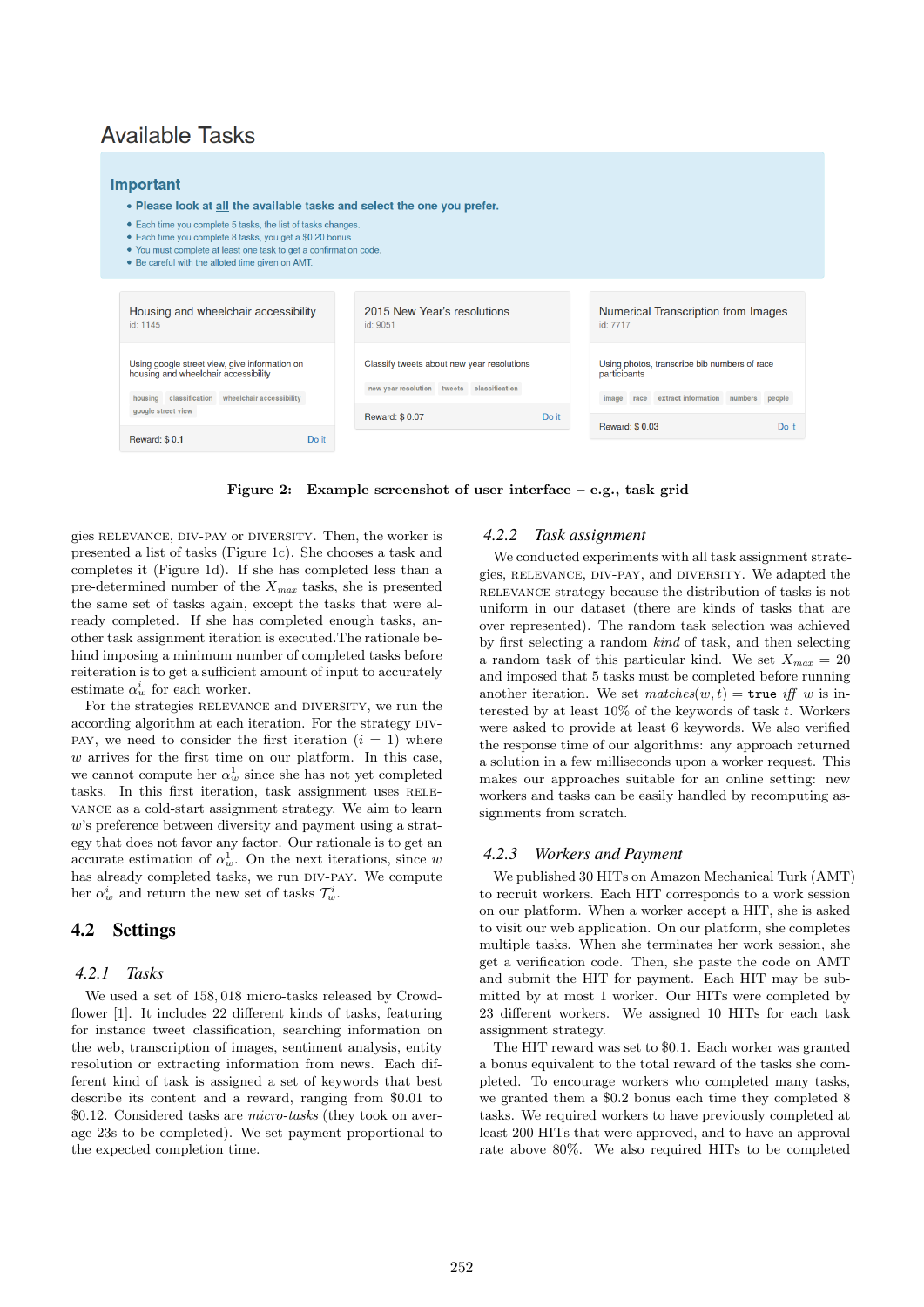## **Available Tasks**

#### Important

- . Please look at all the available tasks and select the one you prefer.
- Each time you complete 5 tasks, the list of tasks changes
- · Each time you complete 8 tasks, you get a \$0.20 bonus
- You must complete at least one task to get a confirmation code.
- Be careful with the alloted time given on AMT.

| Housing and wheelchair accessibility<br>id: 1145                                                                                         | 2015 New Year's resolutions<br>id: 9051                                                 | Numerical Transcription from Images<br>id: 7717                                                               |
|------------------------------------------------------------------------------------------------------------------------------------------|-----------------------------------------------------------------------------------------|---------------------------------------------------------------------------------------------------------------|
| Using google street view, give information on<br>housing and wheelchair accessibility<br>housing classification wheelchair accessibility | Classify tweets about new year resolutions<br>new year resolution tweets classification | Using photos, transcribe bib numbers of race<br>participants<br>image race extract information numbers people |
| google street view<br><b>Reward: \$0.1</b><br>Do it                                                                                      | Do it<br><b>Reward: \$0.07</b>                                                          | <b>Reward: \$0.03</b><br>Do it                                                                                |

Figure 2: Example screenshot of user interface – e.g., task grid

gies relevance, div-pay or diversity. Then, the worker is presented a list of tasks (Figure 1c). She chooses a task and completes it (Figure 1d). If she has completed less than a pre-determined number of the  $X_{max}$  tasks, she is presented the same set of tasks again, except the tasks that were already completed. If she has completed enough tasks, another task assignment iteration is executed.The rationale behind imposing a minimum number of completed tasks before reiteration is to get a sufficient amount of input to accurately estimate  $\alpha_w^i$  for each worker.

For the strategies RELEVANCE and DIVERSITY, we run the according algorithm at each iteration. For the strategy DIV-PAY, we need to consider the first iteration  $(i = 1)$  where  $w$  arrives for the first time on our platform. In this case, we cannot compute her  $\alpha_w^1$  since she has not yet completed tasks. In this first iteration, task assignment uses RELEvance as a cold-start assignment strategy. We aim to learn w's preference between diversity and payment using a strategy that does not favor any factor. Our rationale is to get an accurate estimation of  $\alpha_w^1$ . On the next iterations, since w has already completed tasks, we run DIV-PAY. We compute her  $\alpha_w^i$  and return the new set of tasks  $\mathcal{T}_w^i$ .

## 4.2 Settings

#### *4.2.1 Tasks*

We used a set of 158, 018 micro-tasks released by Crowdflower [1]. It includes 22 different kinds of tasks, featuring for instance tweet classification, searching information on the web, transcription of images, sentiment analysis, entity resolution or extracting information from news. Each different kind of task is assigned a set of keywords that best describe its content and a reward, ranging from \$0.01 to \$0.12. Considered tasks are micro-tasks (they took on average 23s to be completed). We set payment proportional to the expected completion time.

#### *4.2.2 Task assignment*

We conducted experiments with all task assignment strategies, RELEVANCE, DIV-PAY, and DIVERSITY. We adapted the relevance strategy because the distribution of tasks is not uniform in our dataset (there are kinds of tasks that are over represented). The random task selection was achieved by first selecting a random kind of task, and then selecting a random task of this particular kind. We set  $X_{max} = 20$ and imposed that 5 tasks must be completed before running another iteration. We set  $matches(w, t) = \text{true}$  iff w is interested by at least  $10\%$  of the keywords of task t. Workers were asked to provide at least 6 keywords. We also verified the response time of our algorithms: any approach returned a solution in a few milliseconds upon a worker request. This makes our approaches suitable for an online setting: new workers and tasks can be easily handled by recomputing assignments from scratch.

#### *4.2.3 Workers and Payment*

We published 30 HITs on Amazon Mechanical Turk (AMT) to recruit workers. Each HIT corresponds to a work session on our platform. When a worker accept a HIT, she is asked to visit our web application. On our platform, she completes multiple tasks. When she terminates her work session, she get a verification code. Then, she paste the code on AMT and submit the HIT for payment. Each HIT may be submitted by at most 1 worker. Our HITs were completed by 23 different workers. We assigned 10 HITs for each task assignment strategy.

The HIT reward was set to \$0.1. Each worker was granted a bonus equivalent to the total reward of the tasks she completed. To encourage workers who completed many tasks, we granted them a \$0.2 bonus each time they completed 8 tasks. We required workers to have previously completed at least 200 HITs that were approved, and to have an approval rate above 80%. We also required HITs to be completed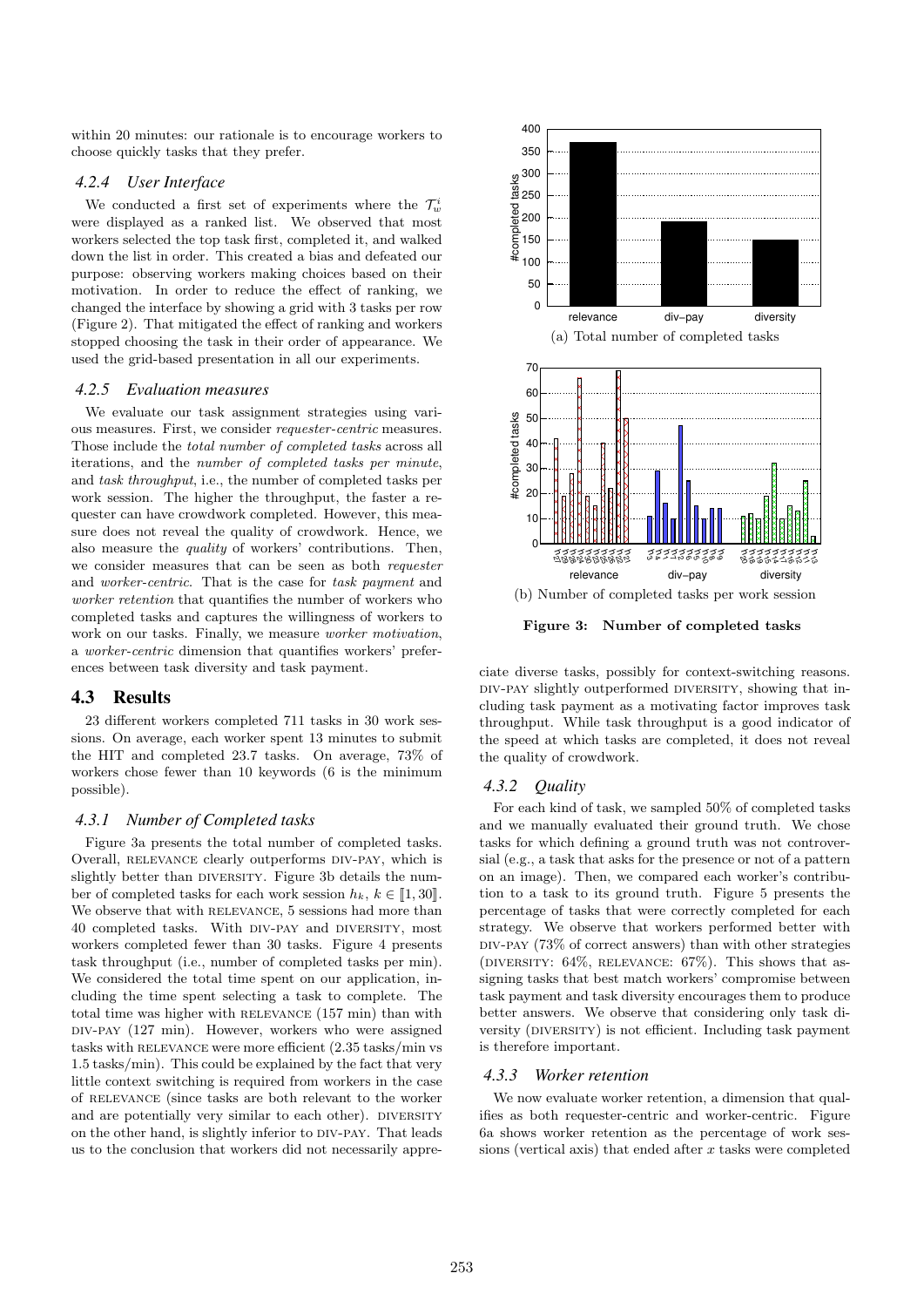within 20 minutes: our rationale is to encourage workers to choose quickly tasks that they prefer.

## *4.2.4 User Interface*

We conducted a first set of experiments where the  $\mathcal{T}^i_w$ were displayed as a ranked list. We observed that most workers selected the top task first, completed it, and walked down the list in order. This created a bias and defeated our purpose: observing workers making choices based on their motivation. In order to reduce the effect of ranking, we changed the interface by showing a grid with 3 tasks per row (Figure 2). That mitigated the effect of ranking and workers stopped choosing the task in their order of appearance. We used the grid-based presentation in all our experiments.

#### *4.2.5 Evaluation measures*

We evaluate our task assignment strategies using various measures. First, we consider requester-centric measures. Those include the total number of completed tasks across all iterations, and the number of completed tasks per minute, and task throughput, i.e., the number of completed tasks per work session. The higher the throughput, the faster a requester can have crowdwork completed. However, this measure does not reveal the quality of crowdwork. Hence, we also measure the quality of workers' contributions. Then, we consider measures that can be seen as both requester and worker-centric. That is the case for task payment and worker retention that quantifies the number of workers who completed tasks and captures the willingness of workers to work on our tasks. Finally, we measure worker motivation, a worker-centric dimension that quantifies workers' preferences between task diversity and task payment.

## 4.3 Results

23 different workers completed 711 tasks in 30 work sessions. On average, each worker spent 13 minutes to submit the HIT and completed 23.7 tasks. On average, 73% of workers chose fewer than 10 keywords (6 is the minimum possible).

#### *4.3.1 Number of Completed tasks*

Figure 3a presents the total number of completed tasks. Overall, RELEVANCE clearly outperforms DIV-PAY, which is slightly better than DIVERSITY. Figure 3b details the number of completed tasks for each work session  $h_k, k \in [1, 30]$ . We observe that with RELEVANCE, 5 sessions had more than 40 completed tasks. With div-pay and diversity, most workers completed fewer than 30 tasks. Figure 4 presents task throughput (i.e., number of completed tasks per min). We considered the total time spent on our application, including the time spent selecting a task to complete. The total time was higher with relevance (157 min) than with div-pay (127 min). However, workers who were assigned tasks with RELEVANCE were more efficient (2.35 tasks/min vs 1.5 tasks/min). This could be explained by the fact that very little context switching is required from workers in the case of relevance (since tasks are both relevant to the worker and are potentially very similar to each other). DIVERSITY on the other hand, is slightly inferior to div-pay. That leads us to the conclusion that workers did not necessarily appre-



Figure 3: Number of completed tasks

ciate diverse tasks, possibly for context-switching reasons. div-pay slightly outperformed diversity, showing that including task payment as a motivating factor improves task throughput. While task throughput is a good indicator of the speed at which tasks are completed, it does not reveal the quality of crowdwork.

#### *4.3.2 Quality*

For each kind of task, we sampled 50% of completed tasks and we manually evaluated their ground truth. We chose tasks for which defining a ground truth was not controversial (e.g., a task that asks for the presence or not of a pattern on an image). Then, we compared each worker's contribution to a task to its ground truth. Figure 5 presents the percentage of tasks that were correctly completed for each strategy. We observe that workers performed better with  $\text{DIV-PAY}$  (73% of correct answers) than with other strategies (DIVERSITY:  $64\%$ , RELEVANCE:  $67\%$ ). This shows that assigning tasks that best match workers' compromise between task payment and task diversity encourages them to produce better answers. We observe that considering only task diversity (DIVERSITY) is not efficient. Including task payment is therefore important.

#### *4.3.3 Worker retention*

We now evaluate worker retention, a dimension that qualifies as both requester-centric and worker-centric. Figure 6a shows worker retention as the percentage of work sessions (vertical axis) that ended after  $x$  tasks were completed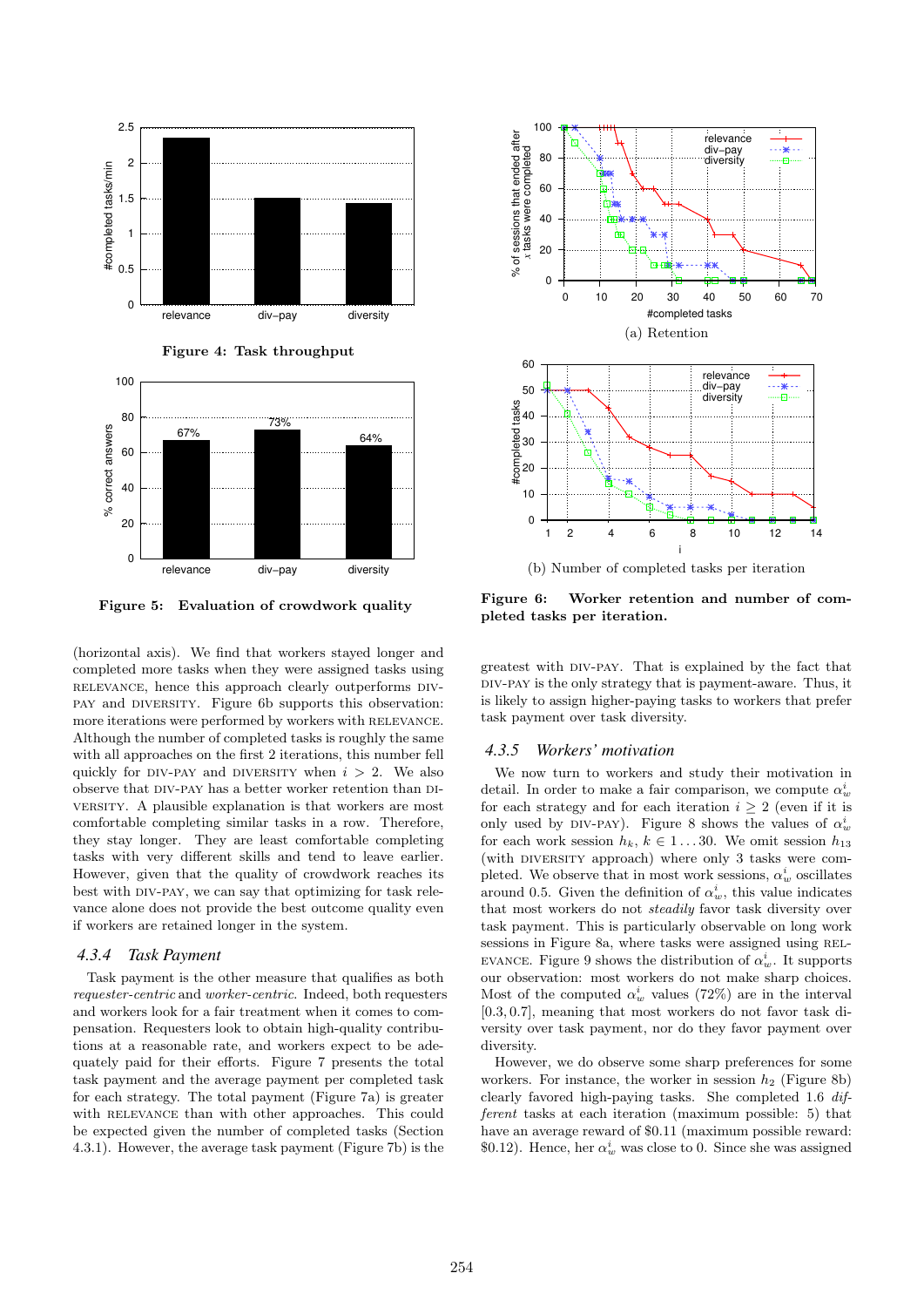



Figure 5: Evaluation of crowdwork quality

(horizontal axis). We find that workers stayed longer and completed more tasks when they were assigned tasks using relevance, hence this approach clearly outperforms divpay and diversity. Figure 6b supports this observation: more iterations were performed by workers with RELEVANCE. Although the number of completed tasks is roughly the same with all approaches on the first 2 iterations, this number fell quickly for DIV-PAY and DIVERSITY when  $i > 2$ . We also observe that div-pay has a better worker retention than diversity. A plausible explanation is that workers are most comfortable completing similar tasks in a row. Therefore, they stay longer. They are least comfortable completing tasks with very different skills and tend to leave earlier. However, given that the quality of crowdwork reaches its best with DIV-PAY, we can say that optimizing for task relevance alone does not provide the best outcome quality even if workers are retained longer in the system.

#### *4.3.4 Task Payment*

Task payment is the other measure that qualifies as both requester-centric and worker-centric. Indeed, both requesters and workers look for a fair treatment when it comes to compensation. Requesters look to obtain high-quality contributions at a reasonable rate, and workers expect to be adequately paid for their efforts. Figure 7 presents the total task payment and the average payment per completed task for each strategy. The total payment (Figure 7a) is greater with RELEVANCE than with other approaches. This could be expected given the number of completed tasks (Section 4.3.1). However, the average task payment (Figure 7b) is the



Figure 6: Worker retention and number of completed tasks per iteration.

greatest with div-pay. That is explained by the fact that div-pay is the only strategy that is payment-aware. Thus, it is likely to assign higher-paying tasks to workers that prefer task payment over task diversity.

#### *4.3.5 Workers' motivation*

We now turn to workers and study their motivation in detail. In order to make a fair comparison, we compute  $\alpha_w^i$ for each strategy and for each iteration  $i \geq 2$  (even if it is only used by DIV-PAY). Figure 8 shows the values of  $\alpha_w^i$ for each work session  $h_k, k \in 1...30$ . We omit session  $h_{13}$ (with DIVERSITY approach) where only 3 tasks were completed. We observe that in most work sessions,  $\alpha_w^i$  oscillates around 0.5. Given the definition of  $\alpha_w^i$ , this value indicates that most workers do not steadily favor task diversity over task payment. This is particularly observable on long work sessions in Figure 8a, where tasks were assigned using REL-EVANCE. Figure 9 shows the distribution of  $\alpha_w^i$ . It supports our observation: most workers do not make sharp choices. Most of the computed  $\alpha_w^i$  values (72%) are in the interval [0.3, 0.7], meaning that most workers do not favor task diversity over task payment, nor do they favor payment over diversity.

However, we do observe some sharp preferences for some workers. For instance, the worker in session  $h_2$  (Figure 8b) clearly favored high-paying tasks. She completed 1.6 different tasks at each iteration (maximum possible: 5) that have an average reward of \$0.11 (maximum possible reward: \$0.12). Hence, her  $\alpha_w^i$  was close to 0. Since she was assigned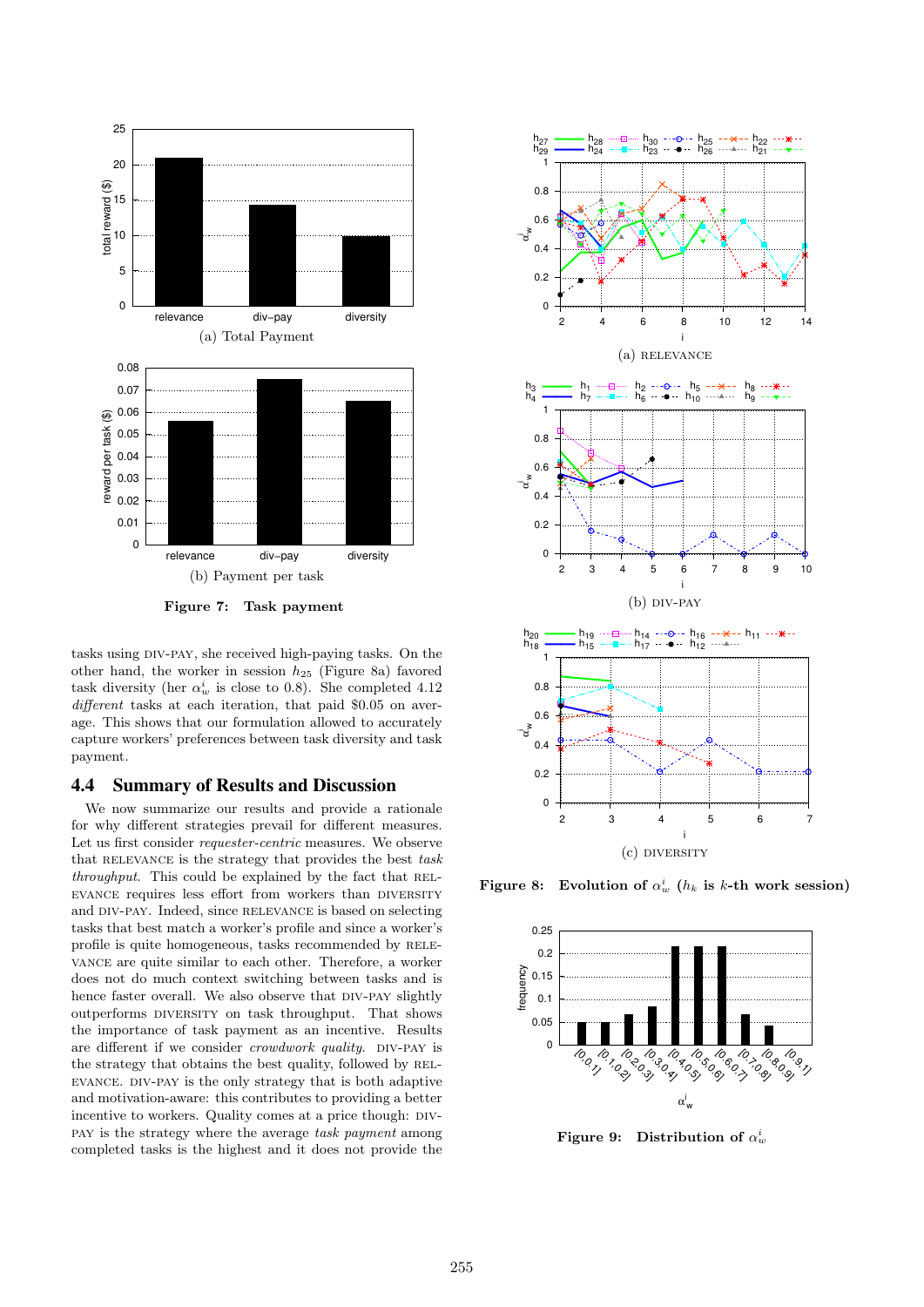

Figure 7: Task payment

tasks using div-pay, she received high-paying tasks. On the other hand, the worker in session  $h_{25}$  (Figure 8a) favored task diversity (her  $\alpha_w^i$  is close to 0.8). She completed 4.12 different tasks at each iteration, that paid \$0.05 on average. This shows that our formulation allowed to accurately capture workers' preferences between task diversity and task payment.

#### 4.4 Summary of Results and Discussion

We now summarize our results and provide a rationale for why different strategies prevail for different measures. Let us first consider requester-centric measures. We observe that RELEVANCE is the strategy that provides the best  $task$ throughput. This could be explained by the fact that RELevance requires less effort from workers than diversity and DIV-PAY. Indeed, since RELEVANCE is based on selecting tasks that best match a worker's profile and since a worker's profile is quite homogeneous, tasks recommended by RELEvance are quite similar to each other. Therefore, a worker does not do much context switching between tasks and is hence faster overall. We also observe that DIV-PAY slightly outperforms DIVERSITY on task throughput. That shows the importance of task payment as an incentive. Results are different if we consider *crowdwork quality*. DIV-PAY is the strategy that obtains the best quality, followed by RELevance. div-pay is the only strategy that is both adaptive and motivation-aware: this contributes to providing a better incentive to workers. Quality comes at a price though: DIVpay is the strategy where the average task payment among completed tasks is the highest and it does not provide the



Figure 8: Evolution of  $\alpha_w^i$  ( $h_k$  is k-th work session)



Figure 9: Distribution of  $\alpha_w^i$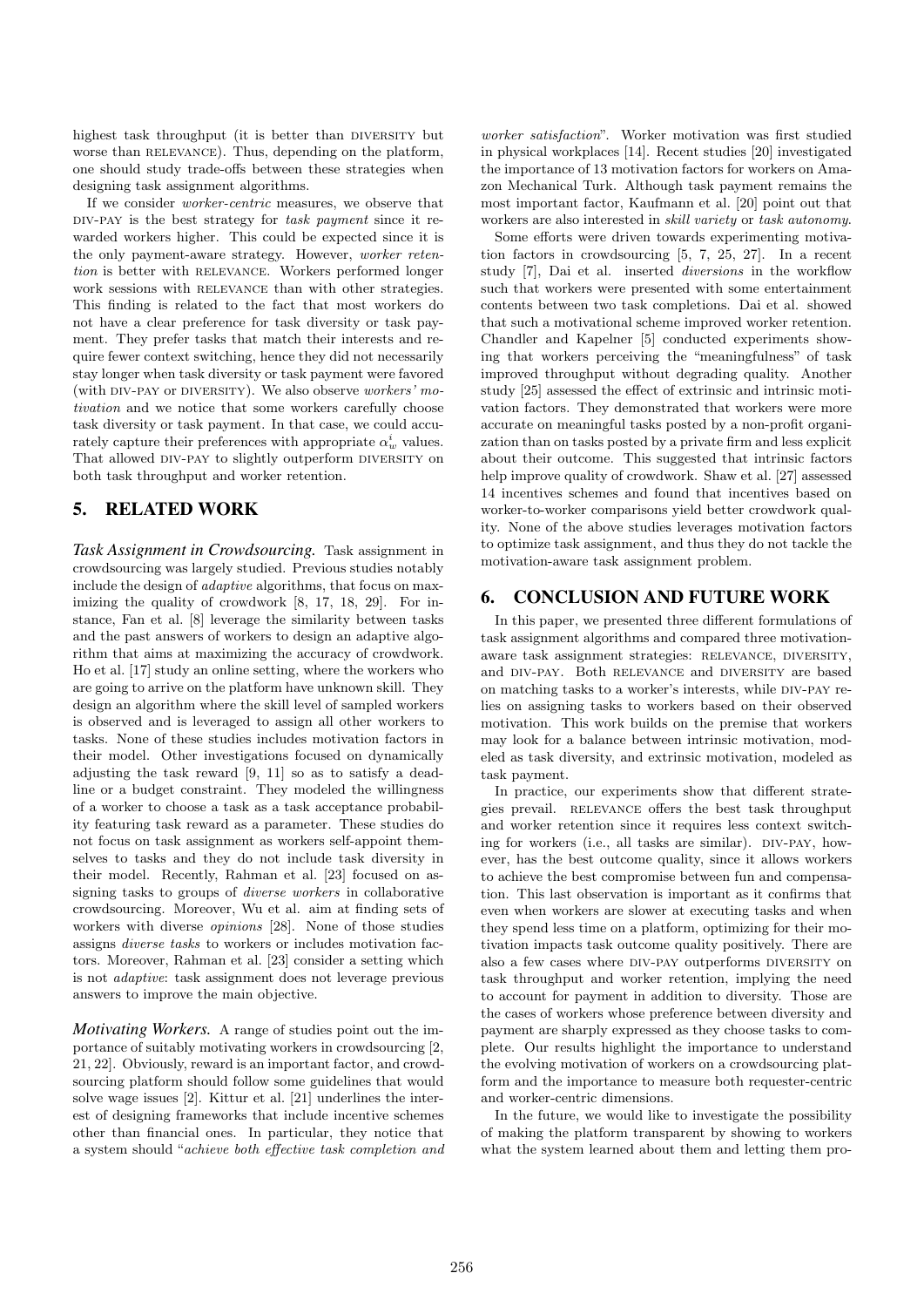highest task throughput (it is better than DIVERSITY but worse than RELEVANCE). Thus, depending on the platform, one should study trade-offs between these strategies when designing task assignment algorithms.

If we consider worker-centric measures, we observe that DIV-PAY is the best strategy for task payment since it rewarded workers higher. This could be expected since it is the only payment-aware strategy. However, worker retention is better with RELEVANCE. Workers performed longer work sessions with RELEVANCE than with other strategies. This finding is related to the fact that most workers do not have a clear preference for task diversity or task payment. They prefer tasks that match their interests and require fewer context switching, hence they did not necessarily stay longer when task diversity or task payment were favored (with DIV-PAY or DIVERSITY). We also observe *workers' mo*tivation and we notice that some workers carefully choose task diversity or task payment. In that case, we could accurately capture their preferences with appropriate  $\alpha_w^i$  values. That allowed DIV-PAY to slightly outperform DIVERSITY on both task throughput and worker retention.

## 5. RELATED WORK

*Task Assignment in Crowdsourcing.* Task assignment in crowdsourcing was largely studied. Previous studies notably include the design of adaptive algorithms, that focus on maximizing the quality of crowdwork [8, 17, 18, 29]. For instance, Fan et al. [8] leverage the similarity between tasks and the past answers of workers to design an adaptive algorithm that aims at maximizing the accuracy of crowdwork. Ho et al. [17] study an online setting, where the workers who are going to arrive on the platform have unknown skill. They design an algorithm where the skill level of sampled workers is observed and is leveraged to assign all other workers to tasks. None of these studies includes motivation factors in their model. Other investigations focused on dynamically adjusting the task reward [9, 11] so as to satisfy a deadline or a budget constraint. They modeled the willingness of a worker to choose a task as a task acceptance probability featuring task reward as a parameter. These studies do not focus on task assignment as workers self-appoint themselves to tasks and they do not include task diversity in their model. Recently, Rahman et al. [23] focused on assigning tasks to groups of diverse workers in collaborative crowdsourcing. Moreover, Wu et al. aim at finding sets of workers with diverse opinions [28]. None of those studies assigns diverse tasks to workers or includes motivation factors. Moreover, Rahman et al. [23] consider a setting which is not adaptive: task assignment does not leverage previous answers to improve the main objective.

*Motivating Workers.* A range of studies point out the importance of suitably motivating workers in crowdsourcing [2, 21, 22]. Obviously, reward is an important factor, and crowdsourcing platform should follow some guidelines that would solve wage issues [2]. Kittur et al. [21] underlines the interest of designing frameworks that include incentive schemes other than financial ones. In particular, they notice that a system should "achieve both effective task completion and worker satisfaction". Worker motivation was first studied in physical workplaces [14]. Recent studies [20] investigated the importance of 13 motivation factors for workers on Amazon Mechanical Turk. Although task payment remains the most important factor, Kaufmann et al. [20] point out that workers are also interested in skill variety or task autonomy.

Some efforts were driven towards experimenting motivation factors in crowdsourcing [5, 7, 25, 27]. In a recent study [7], Dai et al. inserted diversions in the workflow such that workers were presented with some entertainment contents between two task completions. Dai et al. showed that such a motivational scheme improved worker retention. Chandler and Kapelner [5] conducted experiments showing that workers perceiving the "meaningfulness" of task improved throughput without degrading quality. Another study [25] assessed the effect of extrinsic and intrinsic motivation factors. They demonstrated that workers were more accurate on meaningful tasks posted by a non-profit organization than on tasks posted by a private firm and less explicit about their outcome. This suggested that intrinsic factors help improve quality of crowdwork. Shaw et al. [27] assessed 14 incentives schemes and found that incentives based on worker-to-worker comparisons yield better crowdwork quality. None of the above studies leverages motivation factors to optimize task assignment, and thus they do not tackle the motivation-aware task assignment problem.

## 6. CONCLUSION AND FUTURE WORK

In this paper, we presented three different formulations of task assignment algorithms and compared three motivationaware task assignment strategies: RELEVANCE, DIVERSITY, and div-pay. Both relevance and diversity are based on matching tasks to a worker's interests, while div-pay relies on assigning tasks to workers based on their observed motivation. This work builds on the premise that workers may look for a balance between intrinsic motivation, modeled as task diversity, and extrinsic motivation, modeled as task payment.

In practice, our experiments show that different strategies prevail. RELEVANCE offers the best task throughput and worker retention since it requires less context switching for workers (i.e., all tasks are similar). DIV-PAY, however, has the best outcome quality, since it allows workers to achieve the best compromise between fun and compensation. This last observation is important as it confirms that even when workers are slower at executing tasks and when they spend less time on a platform, optimizing for their motivation impacts task outcome quality positively. There are also a few cases where DIV-PAY outperforms DIVERSITY on task throughput and worker retention, implying the need to account for payment in addition to diversity. Those are the cases of workers whose preference between diversity and payment are sharply expressed as they choose tasks to complete. Our results highlight the importance to understand the evolving motivation of workers on a crowdsourcing platform and the importance to measure both requester-centric and worker-centric dimensions.

In the future, we would like to investigate the possibility of making the platform transparent by showing to workers what the system learned about them and letting them pro